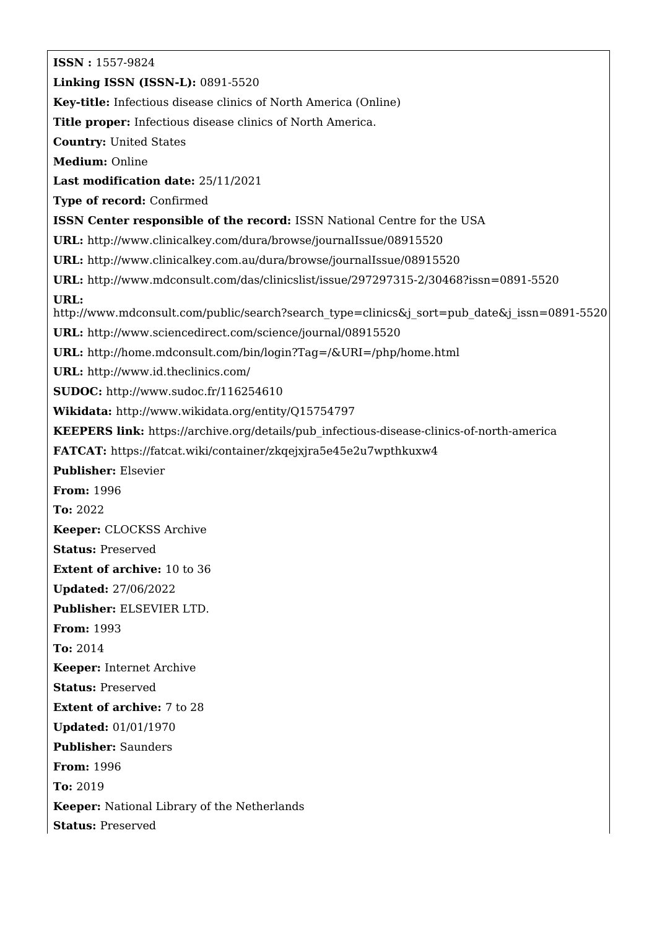**ISSN :** 1557-9824 **Linking ISSN (ISSN-L):** 0891-5520 **Key-title:** Infectious disease clinics of North America (Online) **Title proper:** Infectious disease clinics of North America. **Country:** United States **Medium:** Online **Last modification date:** 25/11/2021 **Type of record:** Confirmed **ISSN Center responsible of the record:** ISSN National Centre for the USA **URL:** <http://www.clinicalkey.com/dura/browse/journalIssue/08915520> **URL:** <http://www.clinicalkey.com.au/dura/browse/journalIssue/08915520> **URL:** <http://www.mdconsult.com/das/clinicslist/issue/297297315-2/30468?issn=0891-5520> **URL:** [http://www.mdconsult.com/public/search?search\\_type=clinics&j\\_sort=pub\\_date&j\\_issn=0891-5520](http://www.mdconsult.com/public/search?search_type=clinics&j_sort=pub_date&j_issn=0891-5520) **URL:** <http://www.sciencedirect.com/science/journal/08915520> **URL:** <http://home.mdconsult.com/bin/login?Tag=/&URI=/php/home.html> **URL:** <http://www.id.theclinics.com/> **SUDOC:** <http://www.sudoc.fr/116254610> **Wikidata:** <http://www.wikidata.org/entity/Q15754797> **KEEPERS link:** [https://archive.org/details/pub\\_infectious-disease-clinics-of-north-america](https://archive.org/details/pub_infectious-disease-clinics-of-north-america) **FATCAT:** <https://fatcat.wiki/container/zkqejxjra5e45e2u7wpthkuxw4> **Publisher:** Elsevier **From:** 1996 **To:** 2022 **Keeper:** CLOCKSS Archive **Status:** Preserved **Extent of archive:** 10 to 36 **Updated:** 27/06/2022 **Publisher:** ELSEVIER LTD. **From:** 1993 **To:** 2014 **Keeper:** Internet Archive **Status:** Preserved **Extent of archive:** 7 to 28 **Updated:** 01/01/1970 **Publisher:** Saunders **From:** 1996 **To:** 2019 **Keeper:** National Library of the Netherlands **Status:** Preserved